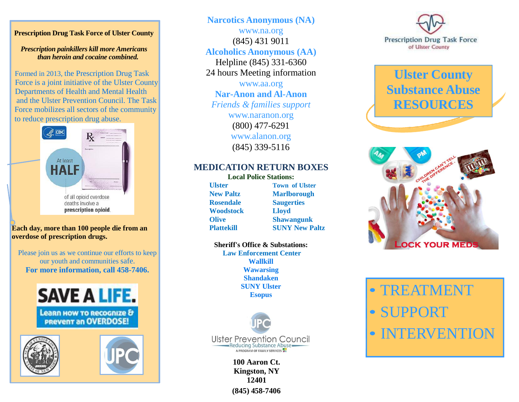#### **Prescription Drug Task Force of Ulster County**

#### *Prescription painkillers kill more Americans than heroin and cocaine combined.*

Formed in 2013, the Prescription Drug Task Force is a joint initiative of the Ulster County Departments of Health and Mental Health and the Ulster Prevention Council. The Task Force mobilizes all sectors of the community to reduce prescription drug abuse.



#### **Each day, more than 100 people die from an overdose of prescription drugs.**

Please join us as we continue our efforts to keep our youth and communities safe. **For more information, call 458-7406.**







**Narcotics Anonymous (NA)**  [www.na.org](http://www.na.org/) (845) 431 9011 **Alcoholics Anonymous (AA)**  Helpline (845) 331-6360

24 hours Meeting information

[www.aa.org](http://www.aa.org/)  **Nar-Anon and Al-Anon**  *Friends & families support*  [www.naranon.org](http://www.naranon.org/) (800) 477-6291

> [www.alanon.org](http://www.alanon.org/)  (845) 339-5116

### **MEDICATION RETURN BOXES**

**Local Police Stations: Rosendale Saugerties Woodstock Lloyd**

**Ulster Town of Ulster New Paltz Marlborough Olive Shawangunk Plattekill SUNY New Paltz**

# **Sheriff's Office & Substations:**

**Law Enforcement Center Wallkill Wawarsing Shandaken SUNY Ulster Esopus**



**100 Aaron Ct. Kingston, NY 12401 (845) 458-7406**



# **Ulster County Substance Abuse RESOURCES**



• TREATMENT • SUPPORT • INTERVENTION